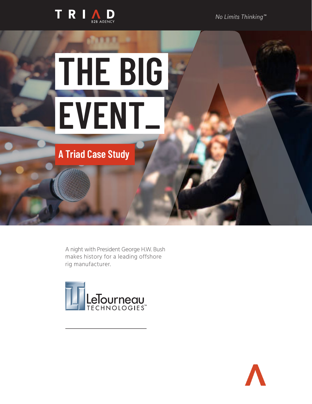

*No Limits Thinking™*

# **THE BIG EVENT\_**

**A Triad Case Study**

A night with President George H.W. Bush makes history for a leading offshore rig manufacturer.



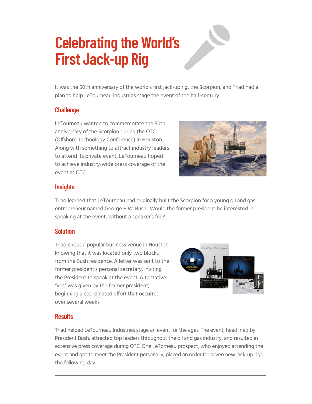# **Celebrating the World's First Jack-up Rig**

It was the 50th anniversary of the world's first jack-up rig, the Scorpion, and Triad had a plan to help LeTourneau Industries stage the event of the half-century.

#### **Challenge**

LeTourneau wanted to commemorate the 50th anniversary of the Scorpion during the OTC (Offshore Technology Conference) in Houston. Along with something to attract industry leaders to attend its private event, LeTourneau hoped to achieve industry-wide press coverage of the event at OTC.



#### **Insights**

Triad learned that LeTourneau had originally built the Scorpion for a young oil and gas entrepreneur named George H.W. Bush. Would the former president be interested in speaking at the event, without a speaker's fee?

## **Solution**

Triad chose a popular business venue in Houston, knowing that it was located only two blocks from the Bush residence. A letter was sent to the former president's personal secretary, inviting the President to speak at the event. A tentative "yes" was given by the former president, beginning a coordinated effort that occurred over several weeks.



## **Results**

Triad helped LeTourneau Industries stage an event for the ages. The event, headlined by President Bush, attracted top leaders throughout the oil and gas industry, and resulted in extensive press coverage during OTC. One LeTorneau prospect, who enjoyed attending the event and got to meet the President personally, placed an order for seven new jack-up rigs the following day.